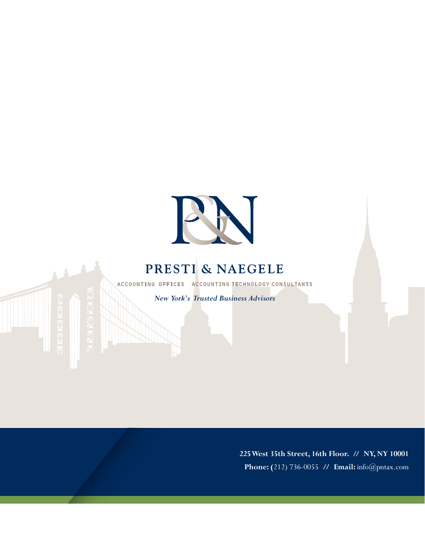

## PRESTI & NAEGELE

ACCOUNTING OFFICES ACCOUNTING TECHNOLOGY CONSULTANTS

*New York's Trusted Business Advisors*

**225 West 35th Street, 16th Floor. // NY, NY 10001 Phone: (**212) 736-0055 **/ / Email:** info@pntax.com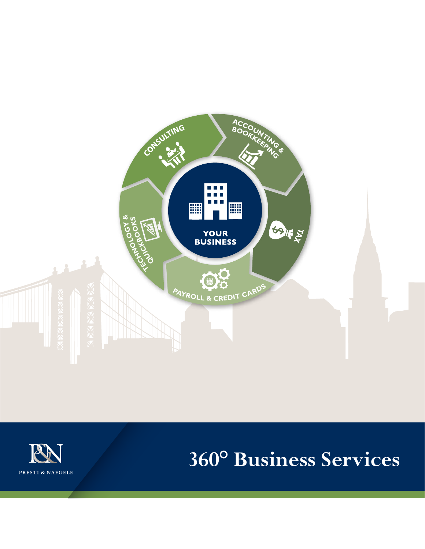



# **360° Business Services**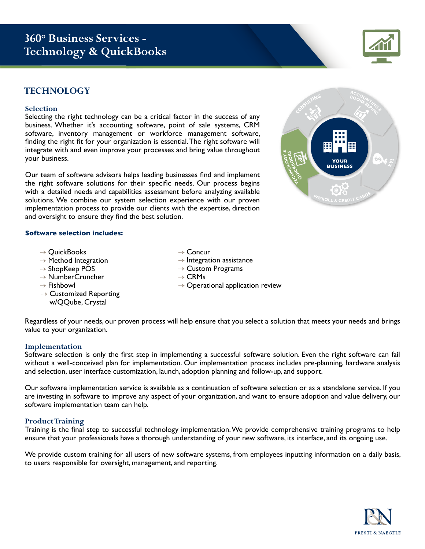## **360° Business Services - Technology & QuickBooks**

### **TECHNOLOGY**

#### **Selection**

Selecting the right technology can be a critical factor in the success of any business. Whether it's accounting software, point of sale systems, CRM software, inventory management or workforce management software, finding the right fit for your organization is essential. The right software will integrate with and even improve your processes and bring value throughout your business.

Our team of software advisors helps leading businesses find and implement the right software solutions for their specific needs. Our process begins with a detailed needs and capabilities assessment before analyzing available solutions. We combine our system selection experience with our proven implementation process to provide our clients with the expertise, direction and oversight to ensure they find the best solution.

#### **Software selection includes:**

- $\rightarrow$  QuickBooks
- $\rightarrow$  Method Integration
- $\rightarrow$  ShopKeep POS
- → NumberCruncher
- $\rightarrow$  Fishbowl
- $\rightarrow$  Customized Reporting w/QQube, Crystal
- $\rightarrow$  Concur
- $\rightarrow$  Integration assistance
- $\rightarrow$  Custom Programs
- $\rightarrow$  CRMs
- $\rightarrow$  Operational application review

Regardless of your needs, our proven process will help ensure that you select a solution that meets your needs and brings value to your organization.

#### **Implementation**

Software selection is only the first step in implementing a successful software solution. Even the right software can fail without a well-conceived plan for implementation. Our implementation process includes pre-planning, hardware analysis and selection, user interface customization, launch, adoption planning and follow-up, and support.

Our software implementation service is available as a continuation of software selection or as a standalone service. If you are investing in software to improve any aspect of your organization, and want to ensure adoption and value delivery, our software implementation team can help.

#### **Product Training**

Training is the final step to successful technology implementation. We provide comprehensive training programs to help ensure that your professionals have a thorough understanding of your new software, its interface, and its ongoing use.

We provide custom training for all users of new software systems, from employees inputting information on a daily basis, to users responsible for oversight, management, and reporting.